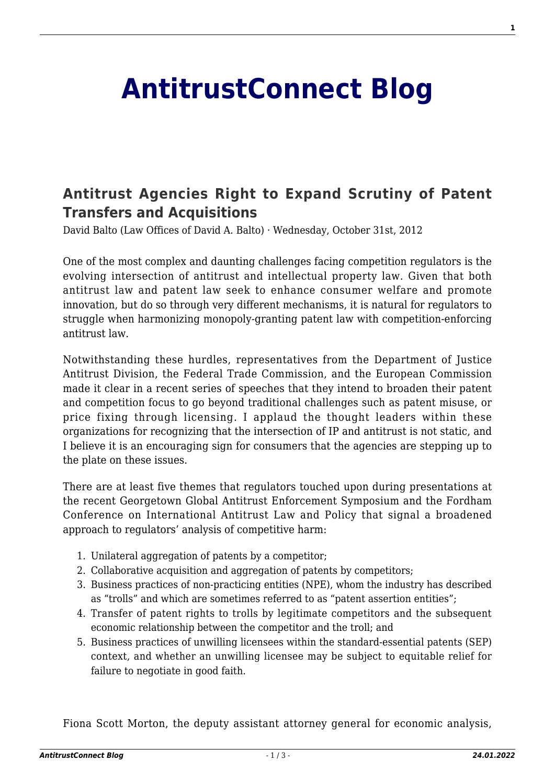## **[AntitrustConnect Blog](http://antitrustconnect.com/)**

## **[Antitrust Agencies Right to Expand Scrutiny of Patent](http://antitrustconnect.com/2012/10/31/antitrust-agencies-right-to-expand-scrutiny-of-patent-transfers-and-acquisitions/) [Transfers and Acquisitions](http://antitrustconnect.com/2012/10/31/antitrust-agencies-right-to-expand-scrutiny-of-patent-transfers-and-acquisitions/)**

David Balto (Law Offices of David A. Balto) · Wednesday, October 31st, 2012

One of the most complex and daunting challenges facing competition regulators is the evolving intersection of antitrust and intellectual property law. Given that both antitrust law and patent law seek to enhance consumer welfare and promote innovation, but do so through very different mechanisms, it is natural for regulators to struggle when harmonizing monopoly-granting patent law with competition-enforcing antitrust law.

Notwithstanding these hurdles, representatives from the Department of Justice Antitrust Division, the Federal Trade Commission, and the European Commission made it clear in a recent series of speeches that they intend to broaden their patent and competition focus to go beyond traditional challenges such as patent misuse, or price fixing through licensing. I applaud the thought leaders within these organizations for recognizing that the intersection of IP and antitrust is not static, and I believe it is an encouraging sign for consumers that the agencies are stepping up to the plate on these issues.

There are at least five themes that regulators touched upon during presentations at the recent Georgetown Global Antitrust Enforcement Symposium and the Fordham Conference on International Antitrust Law and Policy that signal a broadened approach to regulators' analysis of competitive harm:

- 1. Unilateral aggregation of patents by a competitor:
- 2. Collaborative acquisition and aggregation of patents by competitors;
- 3. Business practices of non-practicing entities (NPE), whom the industry has described as "trolls" and which are sometimes referred to as "patent assertion entities";
- 4. Transfer of patent rights to trolls by legitimate competitors and the subsequent economic relationship between the competitor and the troll; and
- 5. Business practices of unwilling licensees within the standard-essential patents (SEP) context, and whether an unwilling licensee may be subject to equitable relief for failure to negotiate in good faith.

Fiona Scott Morton, the deputy assistant attorney general for economic analysis,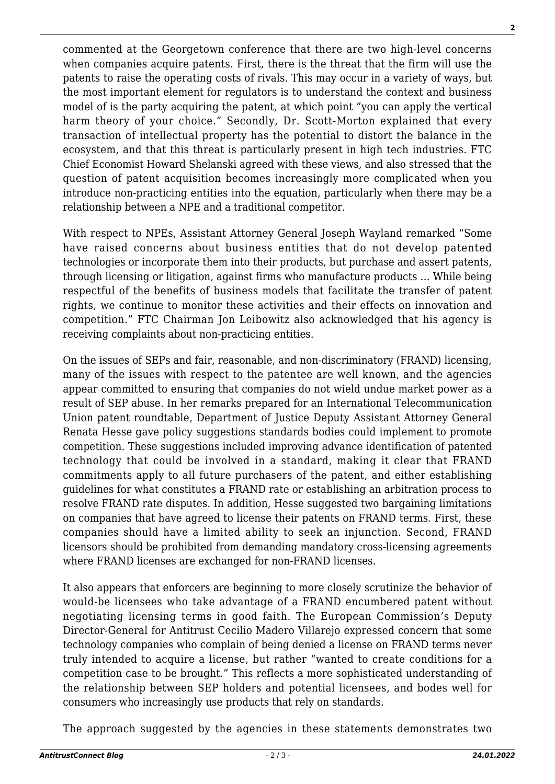commented at the Georgetown conference that there are two high-level concerns when companies acquire patents. First, there is the threat that the firm will use the patents to raise the operating costs of rivals. This may occur in a variety of ways, but the most important element for regulators is to understand the context and business model of is the party acquiring the patent, at which point "you can apply the vertical harm theory of your choice." Secondly, Dr. Scott-Morton explained that every transaction of intellectual property has the potential to distort the balance in the ecosystem, and that this threat is particularly present in high tech industries. FTC Chief Economist Howard Shelanski agreed with these views, and also stressed that the question of patent acquisition becomes increasingly more complicated when you introduce non-practicing entities into the equation, particularly when there may be a relationship between a NPE and a traditional competitor.

With respect to NPEs, Assistant Attorney General Joseph Wayland remarked "Some have raised concerns about business entities that do not develop patented technologies or incorporate them into their products, but purchase and assert patents, through licensing or litigation, against firms who manufacture products … While being respectful of the benefits of business models that facilitate the transfer of patent rights, we continue to monitor these activities and their effects on innovation and competition." FTC Chairman Jon Leibowitz also acknowledged that his agency is receiving complaints about non-practicing entities.

On the issues of SEPs and fair, reasonable, and non-discriminatory (FRAND) licensing, many of the issues with respect to the patentee are well known, and the agencies appear committed to ensuring that companies do not wield undue market power as a result of SEP abuse. In her remarks prepared for an International Telecommunication Union patent roundtable, Department of Justice Deputy Assistant Attorney General Renata Hesse gave policy suggestions standards bodies could implement to promote competition. These suggestions included improving advance identification of patented technology that could be involved in a standard, making it clear that FRAND commitments apply to all future purchasers of the patent, and either establishing guidelines for what constitutes a FRAND rate or establishing an arbitration process to resolve FRAND rate disputes. In addition, Hesse suggested two bargaining limitations on companies that have agreed to license their patents on FRAND terms. First, these companies should have a limited ability to seek an injunction. Second, FRAND licensors should be prohibited from demanding mandatory cross-licensing agreements where FRAND licenses are exchanged for non-FRAND licenses.

It also appears that enforcers are beginning to more closely scrutinize the behavior of would-be licensees who take advantage of a FRAND encumbered patent without negotiating licensing terms in good faith. The European Commission's Deputy Director-General for Antitrust Cecilio Madero Villarejo expressed concern that some technology companies who complain of being denied a license on FRAND terms never truly intended to acquire a license, but rather "wanted to create conditions for a competition case to be brought." This reflects a more sophisticated understanding of the relationship between SEP holders and potential licensees, and bodes well for consumers who increasingly use products that rely on standards.

The approach suggested by the agencies in these statements demonstrates two

**2**